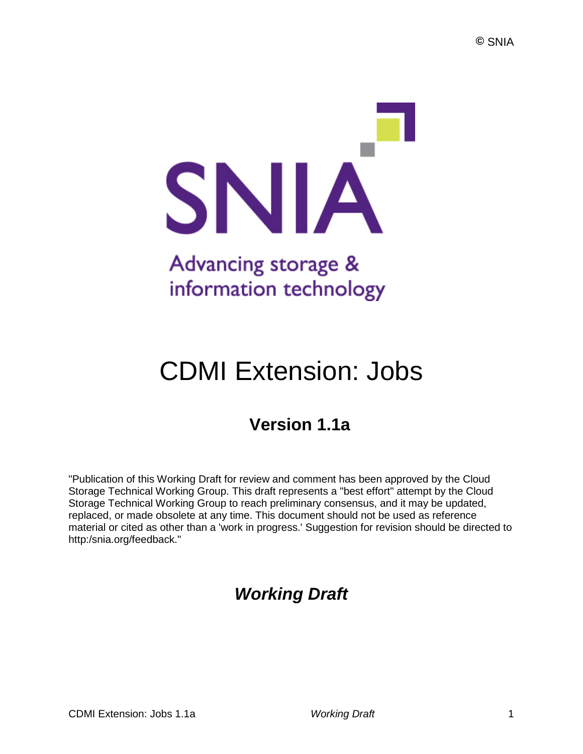

# CDMI Extension: Jobs

# **Version 1.1a**

"Publication of this Working Draft for review and comment has been approved by the Cloud Storage Technical Working Group. This draft represents a "best effort" attempt by the Cloud Storage Technical Working Group to reach preliminary consensus, and it may be updated, replaced, or made obsolete at any time. This document should not be used as reference material or cited as other than a 'work in progress.' Suggestion for revision should be directed to http:/snia.org/feedback."

# *Working Draft*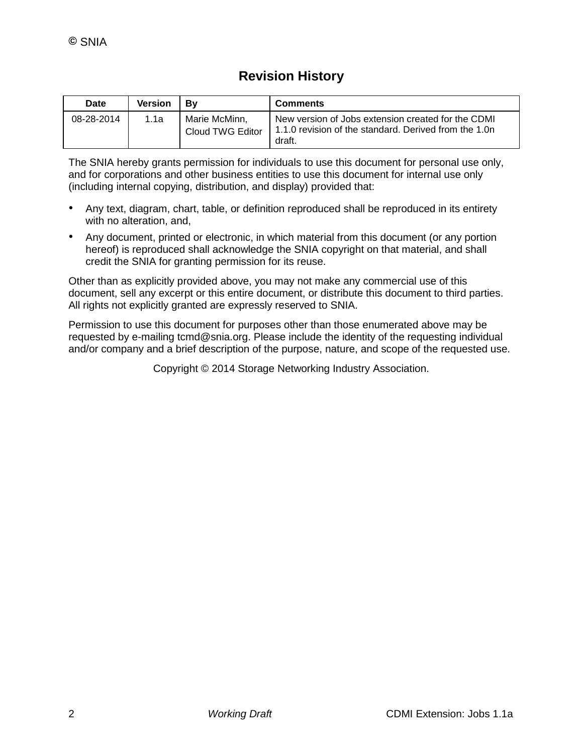# **Revision History**

| Date       | <b>Version</b> | Bv                                | <b>Comments</b>                                                                                                       |
|------------|----------------|-----------------------------------|-----------------------------------------------------------------------------------------------------------------------|
| 08-28-2014 | 1.1a           | Marie McMinn.<br>Cloud TWG Editor | New version of Jobs extension created for the CDMI<br>1.1.0 revision of the standard. Derived from the 1.0n<br>draft. |

The SNIA hereby grants permission for individuals to use this document for personal use only, and for corporations and other business entities to use this document for internal use only (including internal copying, distribution, and display) provided that:

- Any text, diagram, chart, table, or definition reproduced shall be reproduced in its entirety with no alteration, and,
- Any document, printed or electronic, in which material from this document (or any portion hereof) is reproduced shall acknowledge the SNIA copyright on that material, and shall credit the SNIA for granting permission for its reuse.

Other than as explicitly provided above, you may not make any commercial use of this document, sell any excerpt or this entire document, or distribute this document to third parties. All rights not explicitly granted are expressly reserved to SNIA.

Permission to use this document for purposes other than those enumerated above may be requested by e-mailing tcmd@snia.org. Please include the identity of the requesting individual and/or company and a brief description of the purpose, nature, and scope of the requested use.

Copyright © 2014 Storage Networking Industry Association.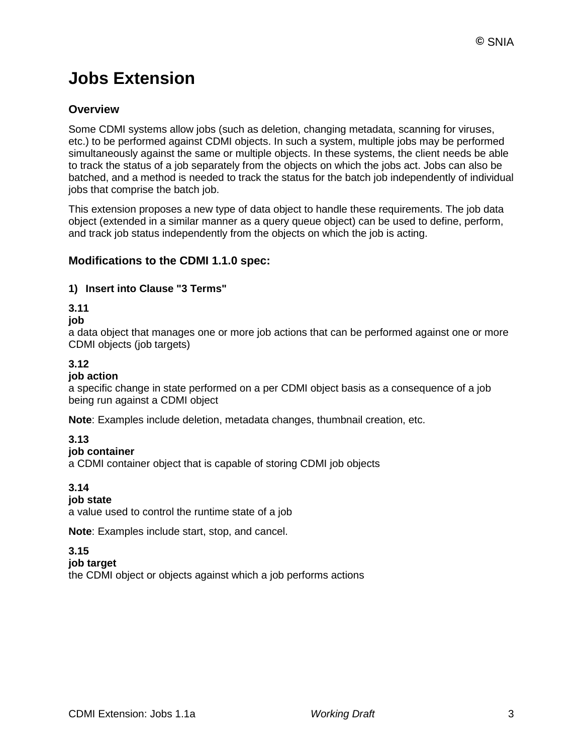# **Jobs Extension**

### **Overview**

Some CDMI systems allow jobs (such as deletion, changing metadata, scanning for viruses, etc.) to be performed against CDMI objects. In such a system, multiple jobs may be performed simultaneously against the same or multiple objects. In these systems, the client needs be able to track the status of a job separately from the objects on which the jobs act. Jobs can also be batched, and a method is needed to track the status for the batch job independently of individual jobs that comprise the batch job.

This extension proposes a new type of data object to handle these requirements. The job data object (extended in a similar manner as a query queue object) can be used to define, perform, and track job status independently from the objects on which the job is acting.

### **Modifications to the CDMI 1.1.0 spec:**

#### **1) Insert into Clause "3 Terms"**

**3.11**

#### **job**

a data object that manages one or more job actions that can be performed against one or more CDMI objects (job targets)

### **3.12**

#### **job action**

a specific change in state performed on a per CDMI object basis as a consequence of a job being run against a CDMI object

**Note**: Examples include deletion, metadata changes, thumbnail creation, etc.

### **3.13**

#### **job container**

a CDMI container object that is capable of storing CDMI job objects

#### **3.14**

#### **job state**

a value used to control the runtime state of a job

**Note**: Examples include start, stop, and cancel.

#### **3.15**

#### **job target**

the CDMI object or objects against which a job performs actions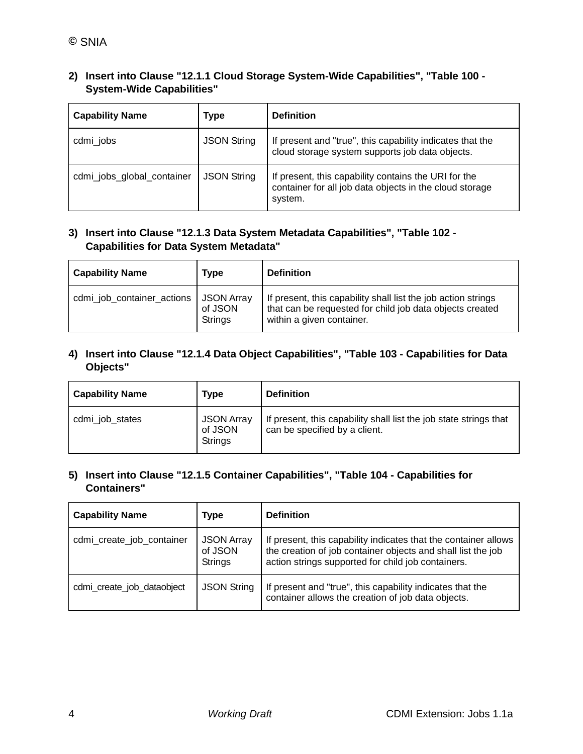| 2) Insert into Clause "12.1.1 Cloud Storage System-Wide Capabilities", "Table 100 - |
|-------------------------------------------------------------------------------------|
| <b>System-Wide Capabilities"</b>                                                    |

| <b>Capability Name</b>                           | Type               | <b>Definition</b>                                                                                                          |  |
|--------------------------------------------------|--------------------|----------------------------------------------------------------------------------------------------------------------------|--|
| cdmi_jobs                                        | <b>JSON String</b> | If present and "true", this capability indicates that the<br>cloud storage system supports job data objects.               |  |
| <b>JSON String</b><br>cdmi_jobs_global_container |                    | If present, this capability contains the URI for the<br>container for all job data objects in the cloud storage<br>system. |  |

#### **3) Insert into Clause "12.1.3 Data System Metadata Capabilities", "Table 102 - Capabilities for Data System Metadata"**

| <b>Capability Name</b>                  | Type               | <b>Definition</b>                                                                                                                                      |
|-----------------------------------------|--------------------|--------------------------------------------------------------------------------------------------------------------------------------------------------|
| cdmi_job_container_actions   JSON Array | of JSON<br>Strings | If present, this capability shall list the job action strings<br>that can be requested for child job data objects created<br>within a given container. |

#### **4) Insert into Clause "12.1.4 Data Object Capabilities", "Table 103 - Capabilities for Data Objects"**

| <b>Capability Name</b> | Type                                    | <b>Definition</b>                                                                                  |
|------------------------|-----------------------------------------|----------------------------------------------------------------------------------------------------|
| cdmi_job_states        | <b>JSON Array</b><br>of JSON<br>Strings | If present, this capability shall list the job state strings that<br>can be specified by a client. |

#### **5) Insert into Clause "12.1.5 Container Capabilities", "Table 104 - Capabilities for Containers"**

| <b>Capability Name</b>                                                      | Type               | <b>Definition</b>                                                                                                                                                                     |  |
|-----------------------------------------------------------------------------|--------------------|---------------------------------------------------------------------------------------------------------------------------------------------------------------------------------------|--|
| cdmi_create_job_container<br><b>JSON Array</b><br>of JSON<br><b>Strings</b> |                    | If present, this capability indicates that the container allows<br>the creation of job container objects and shall list the job<br>action strings supported for child job containers. |  |
| cdmi_create_job_dataobject                                                  | <b>JSON String</b> | If present and "true", this capability indicates that the<br>container allows the creation of job data objects.                                                                       |  |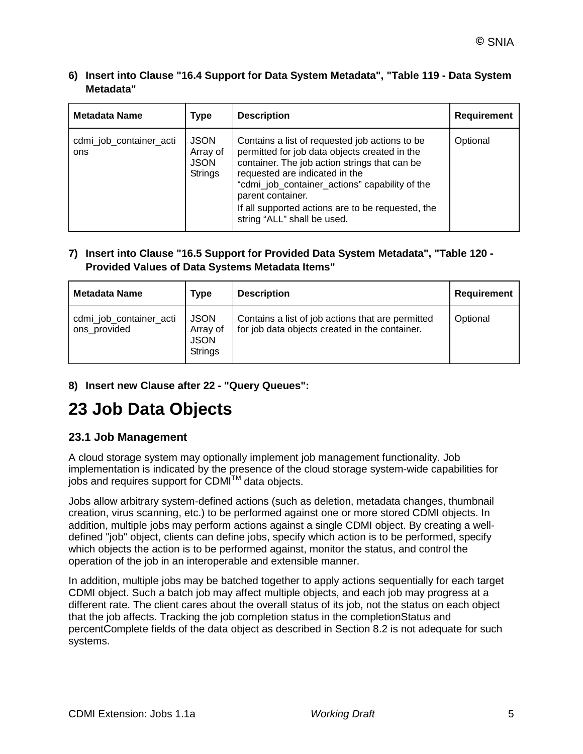#### **6) Insert into Clause "16.4 Support for Data System Metadata", "Table 119 - Data System Metadata"**

| <b>Metadata Name</b>           | <b>Type</b>                                              | <b>Description</b>                                                                                                                                                                                                                                                                                                                             | <b>Requirement</b> |
|--------------------------------|----------------------------------------------------------|------------------------------------------------------------------------------------------------------------------------------------------------------------------------------------------------------------------------------------------------------------------------------------------------------------------------------------------------|--------------------|
| cdmi_job_container_acti<br>ons | <b>JSON</b><br>Array of<br><b>JSON</b><br><b>Strings</b> | Contains a list of requested job actions to be.<br>permitted for job data objects created in the<br>container. The job action strings that can be<br>requested are indicated in the<br>"cdmi_job_container_actions" capability of the<br>parent container.<br>If all supported actions are to be requested, the<br>string "ALL" shall be used. | Optional           |

#### **7) Insert into Clause "16.5 Support for Provided Data System Metadata", "Table 120 - Provided Values of Data Systems Metadata Items"**

| Metadata Name                           | Type                                                     | <b>Description</b>                                                                                  | Requirement |
|-----------------------------------------|----------------------------------------------------------|-----------------------------------------------------------------------------------------------------|-------------|
| cdmi_job_container_acti<br>ons_provided | <b>JSON</b><br>Array of<br><b>JSON</b><br><b>Strings</b> | Contains a list of job actions that are permitted<br>for job data objects created in the container. | Optional    |

### **8) Insert new Clause after 22 - "Query Queues":**

# **23 Job Data Objects**

### **23.1 Job Management**

A cloud storage system may optionally implement job management functionality. Job implementation is indicated by the presence of the cloud storage system-wide capabilities for jobs and requires support for CDMI $\text{TM}$  data objects.

Jobs allow arbitrary system-defined actions (such as deletion, metadata changes, thumbnail creation, virus scanning, etc.) to be performed against one or more stored CDMI objects. In addition, multiple jobs may perform actions against a single CDMI object. By creating a welldefined "job" object, clients can define jobs, specify which action is to be performed, specify which objects the action is to be performed against, monitor the status, and control the operation of the job in an interoperable and extensible manner.

In addition, multiple jobs may be batched together to apply actions sequentially for each target CDMI object. Such a batch job may affect multiple objects, and each job may progress at a different rate. The client cares about the overall status of its job, not the status on each object that the job affects. Tracking the job completion status in the completionStatus and percentComplete fields of the data object as described in Section 8.2 is not adequate for such systems.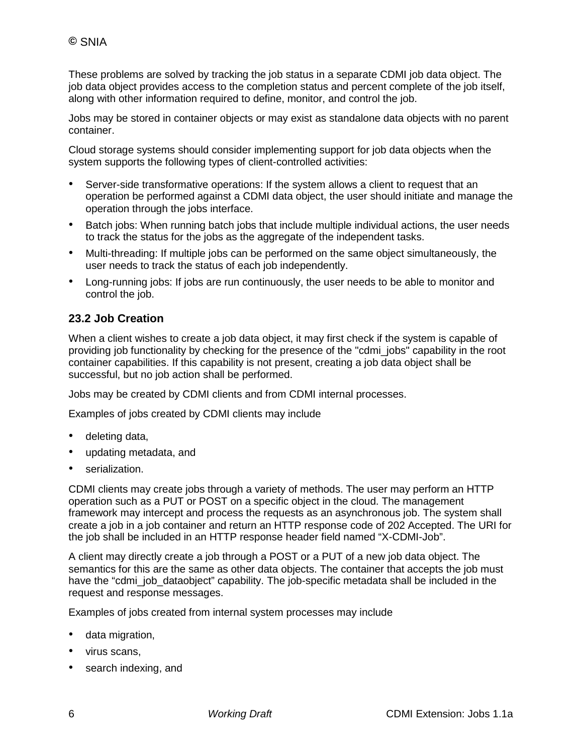These problems are solved by tracking the job status in a separate CDMI job data object. The job data object provides access to the completion status and percent complete of the job itself, along with other information required to define, monitor, and control the job.

Jobs may be stored in container objects or may exist as standalone data objects with no parent container.

Cloud storage systems should consider implementing support for job data objects when the system supports the following types of client-controlled activities:

- Server-side transformative operations: If the system allows a client to request that an operation be performed against a CDMI data object, the user should initiate and manage the operation through the jobs interface.
- Batch jobs: When running batch jobs that include multiple individual actions, the user needs to track the status for the jobs as the aggregate of the independent tasks.
- Multi-threading: If multiple jobs can be performed on the same object simultaneously, the user needs to track the status of each job independently.
- Long-running jobs: If jobs are run continuously, the user needs to be able to monitor and control the job.

## **23.2 Job Creation**

When a client wishes to create a job data object, it may first check if the system is capable of providing job functionality by checking for the presence of the "cdmi\_jobs" capability in the root container capabilities. If this capability is not present, creating a job data object shall be successful, but no job action shall be performed.

Jobs may be created by CDMI clients and from CDMI internal processes.

Examples of jobs created by CDMI clients may include

- deleting data,
- updating metadata, and
- serialization.

CDMI clients may create jobs through a variety of methods. The user may perform an HTTP operation such as a PUT or POST on a specific object in the cloud. The management framework may intercept and process the requests as an asynchronous job. The system shall create a job in a job container and return an HTTP response code of 202 Accepted. The URI for the job shall be included in an HTTP response header field named "X-CDMI-Job".

A client may directly create a job through a POST or a PUT of a new job data object. The semantics for this are the same as other data objects. The container that accepts the job must have the "cdmi\_job\_dataobject" capability. The job-specific metadata shall be included in the request and response messages.

Examples of jobs created from internal system processes may include

- data migration,
- virus scans,
- search indexing, and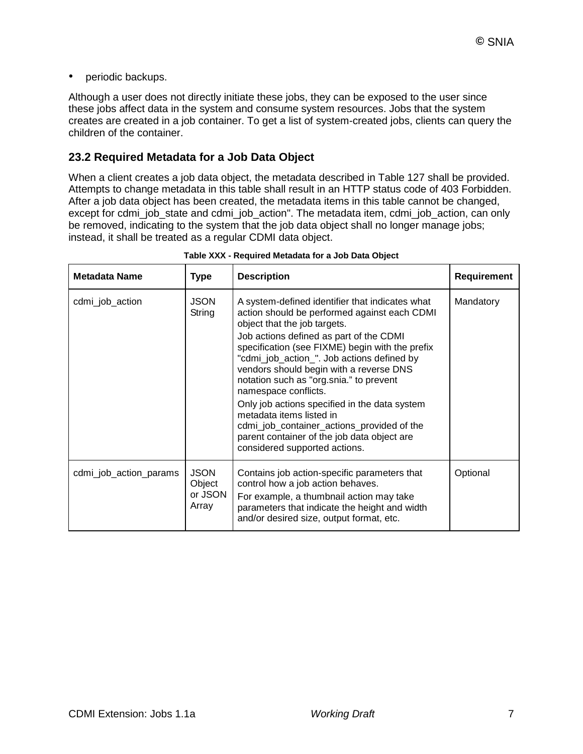• periodic backups.

Although a user does not directly initiate these jobs, they can be exposed to the user since these jobs affect data in the system and consume system resources. Jobs that the system creates are created in a job container. To get a list of system-created jobs, clients can query the children of the container.

### **23.2 Required Metadata for a Job Data Object**

When a client creates a job data object, the metadata described in Table 127 shall be provided. Attempts to change metadata in this table shall result in an HTTP status code of 403 Forbidden. After a job data object has been created, the metadata items in this table cannot be changed, except for cdmi\_job\_state and cdmi\_job\_action". The metadata item, cdmi\_job\_action, can only be removed, indicating to the system that the job data object shall no longer manage jobs; instead, it shall be treated as a regular CDMI data object.

| <b>Metadata Name</b>   | <b>Type</b>                               | <b>Description</b>                                                                                                                                                                                                                                                                                                                                                                                                                                                                                                                                                                                   | <b>Requirement</b> |
|------------------------|-------------------------------------------|------------------------------------------------------------------------------------------------------------------------------------------------------------------------------------------------------------------------------------------------------------------------------------------------------------------------------------------------------------------------------------------------------------------------------------------------------------------------------------------------------------------------------------------------------------------------------------------------------|--------------------|
| cdmi_job_action        | <b>JSON</b><br>String                     | A system-defined identifier that indicates what<br>action should be performed against each CDMI<br>object that the job targets.<br>Job actions defined as part of the CDMI<br>specification (see FIXME) begin with the prefix<br>"cdmi_job_action_". Job actions defined by<br>vendors should begin with a reverse DNS<br>notation such as "org.snia." to prevent<br>namespace conflicts.<br>Only job actions specified in the data system<br>metadata items listed in<br>cdmi_job_container_actions_provided of the<br>parent container of the job data object are<br>considered supported actions. | Mandatory          |
| cdmi_job_action_params | <b>JSON</b><br>Object<br>or JSON<br>Array | Contains job action-specific parameters that<br>control how a job action behaves.<br>For example, a thumbnail action may take<br>parameters that indicate the height and width<br>and/or desired size, output format, etc.                                                                                                                                                                                                                                                                                                                                                                           | Optional           |

**Table XXX - Required Metadata for a Job Data Object**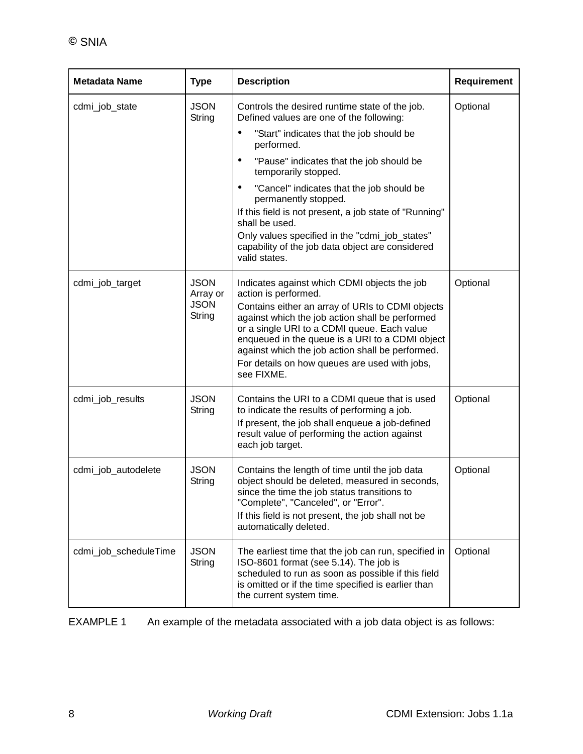| <b>Metadata Name</b>  | <b>Type</b>                                      | <b>Description</b>                                                                                                                                                                                                                                                                                                                                                                               | Requirement |
|-----------------------|--------------------------------------------------|--------------------------------------------------------------------------------------------------------------------------------------------------------------------------------------------------------------------------------------------------------------------------------------------------------------------------------------------------------------------------------------------------|-------------|
| cdmi_job_state        | <b>JSON</b><br>String                            | Controls the desired runtime state of the job.<br>Defined values are one of the following:                                                                                                                                                                                                                                                                                                       | Optional    |
|                       |                                                  | "Start" indicates that the job should be<br>٠<br>performed.                                                                                                                                                                                                                                                                                                                                      |             |
|                       |                                                  | "Pause" indicates that the job should be<br>٠<br>temporarily stopped.                                                                                                                                                                                                                                                                                                                            |             |
|                       |                                                  | "Cancel" indicates that the job should be<br>٠<br>permanently stopped.                                                                                                                                                                                                                                                                                                                           |             |
|                       |                                                  | If this field is not present, a job state of "Running"<br>shall be used.                                                                                                                                                                                                                                                                                                                         |             |
|                       |                                                  | Only values specified in the "cdmi_job_states"<br>capability of the job data object are considered<br>valid states.                                                                                                                                                                                                                                                                              |             |
| cdmi_job_target       | <b>JSON</b><br>Array or<br><b>JSON</b><br>String | Indicates against which CDMI objects the job<br>action is performed.<br>Contains either an array of URIs to CDMI objects<br>against which the job action shall be performed<br>or a single URI to a CDMI queue. Each value<br>enqueued in the queue is a URI to a CDMI object<br>against which the job action shall be performed.<br>For details on how queues are used with jobs,<br>see FIXME. | Optional    |
| cdmi_job_results      | <b>JSON</b><br>String                            | Contains the URI to a CDMI queue that is used<br>to indicate the results of performing a job.<br>If present, the job shall enqueue a job-defined<br>result value of performing the action against<br>each job target.                                                                                                                                                                            | Optional    |
| cdmi_job_autodelete   | <b>JSON</b><br>String                            | Contains the length of time until the job data<br>object should be deleted, measured in seconds,<br>since the time the job status transitions to<br>"Complete", "Canceled", or "Error".<br>If this field is not present, the job shall not be<br>automatically deleted.                                                                                                                          | Optional    |
| cdmi_job_scheduleTime | <b>JSON</b><br>String                            | The earliest time that the job can run, specified in<br>ISO-8601 format (see 5.14). The job is<br>scheduled to run as soon as possible if this field<br>is omitted or if the time specified is earlier than<br>the current system time.                                                                                                                                                          | Optional    |

EXAMPLE 1 An example of the metadata associated with a job data object is as follows: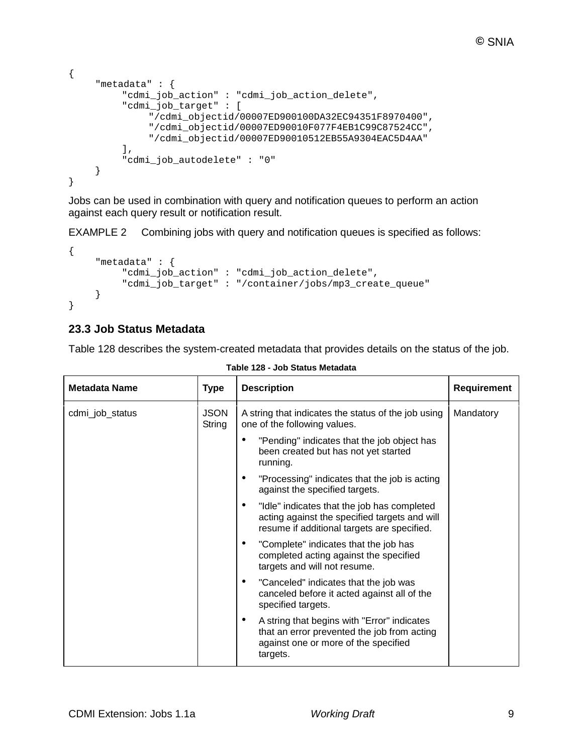```
{
    "metadata" : {
         "cdmi_job_action" : "cdmi_job_action_delete",
         "cdmi_job_target" : [
              "/cdmi_objectid/00007ED900100DA32EC94351F8970400",
              "/cdmi_objectid/00007ED90010F077F4EB1C99C87524CC",
              "/cdmi_objectid/00007ED90010512EB55A9304EAC5D4AA"
         ],
         "cdmi_job_autodelete" : "0"
    }
}
```
Jobs can be used in combination with query and notification queues to perform an action against each query result or notification result.

EXAMPLE 2 Combining jobs with query and notification queues is specified as follows:

```
{
    "metadata" : {
         "cdmi_job_action" : "cdmi_job_action_delete",
         "cdmi_job_target" : "/container/jobs/mp3_create_queue"
    }
}
```
### **23.3 Job Status Metadata**

Table 128 describes the system-created metadata that provides details on the status of the job.

| <b>Metadata Name</b> | <b>Type</b>           | <b>Description</b>                                                                                                                                  | Requirement |
|----------------------|-----------------------|-----------------------------------------------------------------------------------------------------------------------------------------------------|-------------|
| cdmi_job_status      | <b>JSON</b><br>String | A string that indicates the status of the job using<br>one of the following values.                                                                 | Mandatory   |
|                      |                       | "Pending" indicates that the job object has<br>been created but has not yet started<br>running.                                                     |             |
|                      |                       | "Processing" indicates that the job is acting<br>against the specified targets.                                                                     |             |
|                      |                       | "Idle" indicates that the job has completed<br>٠<br>acting against the specified targets and will<br>resume if additional targets are specified.    |             |
|                      |                       | "Complete" indicates that the job has<br>٠<br>completed acting against the specified<br>targets and will not resume.                                |             |
|                      |                       | "Canceled" indicates that the job was<br>٠<br>canceled before it acted against all of the<br>specified targets.                                     |             |
|                      |                       | A string that begins with "Error" indicates<br>٠<br>that an error prevented the job from acting<br>against one or more of the specified<br>targets. |             |

**Table 128 - Job Status Metadata**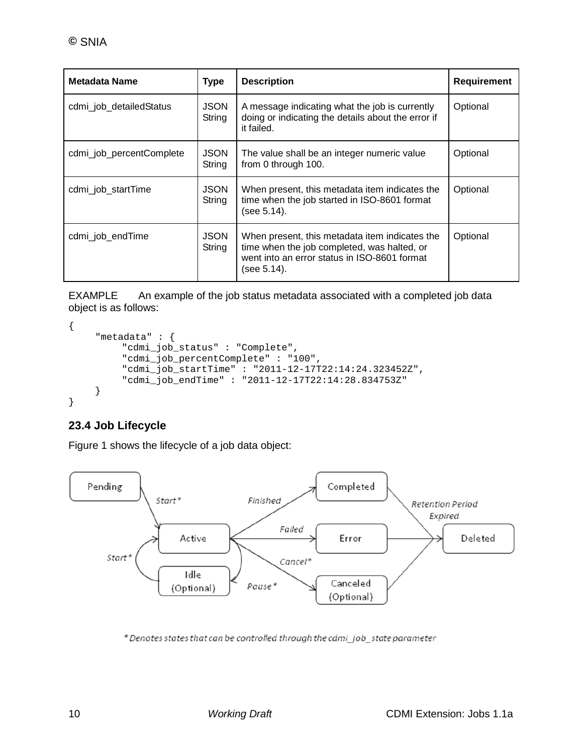| Metadata Name            | <b>Type</b>           | <b>Description</b>                                                                                                                                           | <b>Requirement</b> |
|--------------------------|-----------------------|--------------------------------------------------------------------------------------------------------------------------------------------------------------|--------------------|
| cdmi job detailedStatus  | <b>JSON</b><br>String | A message indicating what the job is currently<br>doing or indicating the details about the error if<br>it failed.                                           | Optional           |
| cdmi_job_percentComplete | <b>JSON</b><br>String | The value shall be an integer numeric value<br>from 0 through 100.                                                                                           | Optional           |
| cdmi_job_startTime       | <b>JSON</b><br>String | When present, this metadata item indicates the<br>time when the job started in ISO-8601 format<br>(see 5.14).                                                | Optional           |
| cdmi_job_endTime         | <b>JSON</b><br>String | When present, this metadata item indicates the<br>time when the job completed, was halted, or<br>went into an error status in ISO-8601 format<br>(see 5.14). | Optional           |

EXAMPLE An example of the job status metadata associated with a completed job data object is as follows:

```
{
     "metadata" : {
         "cdmi_job_status" : "Complete",
         "cdmi_job_percentComplete" : "100",
         "cdmi_job_startTime" : "2011-12-17T22:14:24.323452Z",
         "cdmi_job_endTime" : "2011-12-17T22:14:28.834753Z"
    }
}
```
# **23.4 Job Lifecycle**

[Figure 1](#page-10-0) shows the lifecycle of a job data object:



\* Denotes states that can be controlled through the cdmi\_job\_state parameter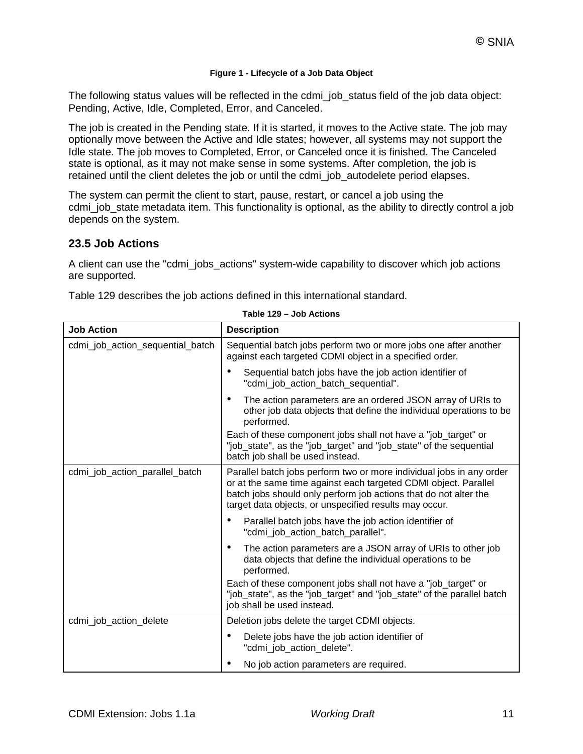#### **Figure 1 - Lifecycle of a Job Data Object**

<span id="page-10-0"></span>The following status values will be reflected in the cdmi job status field of the job data object: Pending, Active, Idle, Completed, Error, and Canceled.

The job is created in the Pending state. If it is started, it moves to the Active state. The job may optionally move between the Active and Idle states; however, all systems may not support the Idle state. The job moves to Completed, Error, or Canceled once it is finished. The Canceled state is optional, as it may not make sense in some systems. After completion, the job is retained until the client deletes the job or until the cdmi job autodelete period elapses.

The system can permit the client to start, pause, restart, or cancel a job using the cdmi\_job\_state metadata item. This functionality is optional, as the ability to directly control a job depends on the system.

#### **23.5 Job Actions**

A client can use the "cdmi\_jobs\_actions" system-wide capability to discover which job actions are supported.

Table 129 describes the job actions defined in this international standard.

| <b>Job Action</b>                | <b>Description</b>                                                                                                                                                                                                                                                    |
|----------------------------------|-----------------------------------------------------------------------------------------------------------------------------------------------------------------------------------------------------------------------------------------------------------------------|
| cdmi_job_action_sequential_batch | Sequential batch jobs perform two or more jobs one after another<br>against each targeted CDMI object in a specified order.                                                                                                                                           |
|                                  | Sequential batch jobs have the job action identifier of<br>"cdmi_job_action_batch_sequential".                                                                                                                                                                        |
|                                  | The action parameters are an ordered JSON array of URIs to<br>other job data objects that define the individual operations to be<br>performed.                                                                                                                        |
|                                  | Each of these component jobs shall not have a "job_target" or<br>"job_state", as the "job_target" and "job_state" of the sequential<br>batch job shall be used instead.                                                                                               |
| cdmi_job_action_parallel_batch   | Parallel batch jobs perform two or more individual jobs in any order<br>or at the same time against each targeted CDMI object. Parallel<br>batch jobs should only perform job actions that do not alter the<br>target data objects, or unspecified results may occur. |
|                                  | Parallel batch jobs have the job action identifier of<br>"cdmi job action batch parallel".                                                                                                                                                                            |
|                                  | The action parameters are a JSON array of URIs to other job<br>data objects that define the individual operations to be<br>performed.                                                                                                                                 |
|                                  | Each of these component jobs shall not have a "job_target" or<br>"job_state", as the "job_target" and "job_state" of the parallel batch<br>job shall be used instead.                                                                                                 |
| cdmi_job_action_delete           | Deletion jobs delete the target CDMI objects.                                                                                                                                                                                                                         |
|                                  | Delete jobs have the job action identifier of<br>"cdmi_job_action_delete".                                                                                                                                                                                            |
|                                  | No job action parameters are required.                                                                                                                                                                                                                                |

**Table 129 – Job Actions**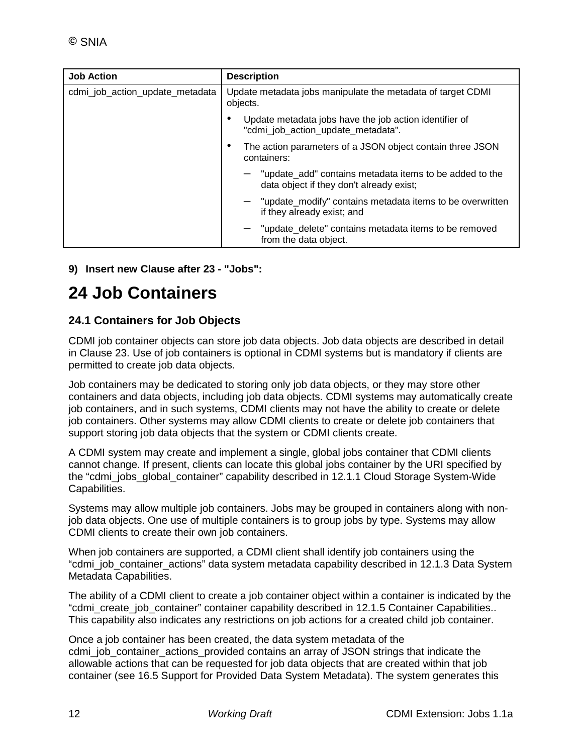| <b>Job Action</b>               | <b>Description</b>                                                                                  |
|---------------------------------|-----------------------------------------------------------------------------------------------------|
| cdmi_job_action_update_metadata | Update metadata jobs manipulate the metadata of target CDMI<br>objects.                             |
|                                 | Update metadata jobs have the job action identifier of<br>"cdmi_job_action_update_metadata".        |
|                                 | The action parameters of a JSON object contain three JSON<br>containers:                            |
|                                 | "update_add" contains metadata items to be added to the<br>data object if they don't already exist; |
|                                 | $-$ "update_modify" contains metadata items to be overwritten<br>if they already exist; and         |
|                                 | "update_delete" contains metadata items to be removed<br>from the data object.                      |

**9) Insert new Clause after 23 - "Jobs":**

# **24 Job Containers**

## **24.1 Containers for Job Objects**

CDMI job container objects can store job data objects. Job data objects are described in detail in Clause 23. Use of job containers is optional in CDMI systems but is mandatory if clients are permitted to create job data objects.

Job containers may be dedicated to storing only job data objects, or they may store other containers and data objects, including job data objects. CDMI systems may automatically create job containers, and in such systems, CDMI clients may not have the ability to create or delete job containers. Other systems may allow CDMI clients to create or delete job containers that support storing job data objects that the system or CDMI clients create.

A CDMI system may create and implement a single, global jobs container that CDMI clients cannot change. If present, clients can locate this global jobs container by the URI specified by the "cdmi\_jobs\_global\_container" capability described in 12.1.1 Cloud Storage System-Wide Capabilities.

Systems may allow multiple job containers. Jobs may be grouped in containers along with nonjob data objects. One use of multiple containers is to group jobs by type. Systems may allow CDMI clients to create their own job containers.

When job containers are supported, a CDMI client shall identify job containers using the "cdmi\_job\_container\_actions" data system metadata capability described in 12.1.3 Data System Metadata Capabilities.

The ability of a CDMI client to create a job container object within a container is indicated by the "cdmi\_create\_job\_container" container capability described in 12.1.5 Container Capabilities.. This capability also indicates any restrictions on job actions for a created child job container.

Once a job container has been created, the data system metadata of the cdmi\_job\_container\_actions\_provided contains an array of JSON strings that indicate the allowable actions that can be requested for job data objects that are created within that job container (see 16.5 Support for Provided Data System Metadata). The system generates this